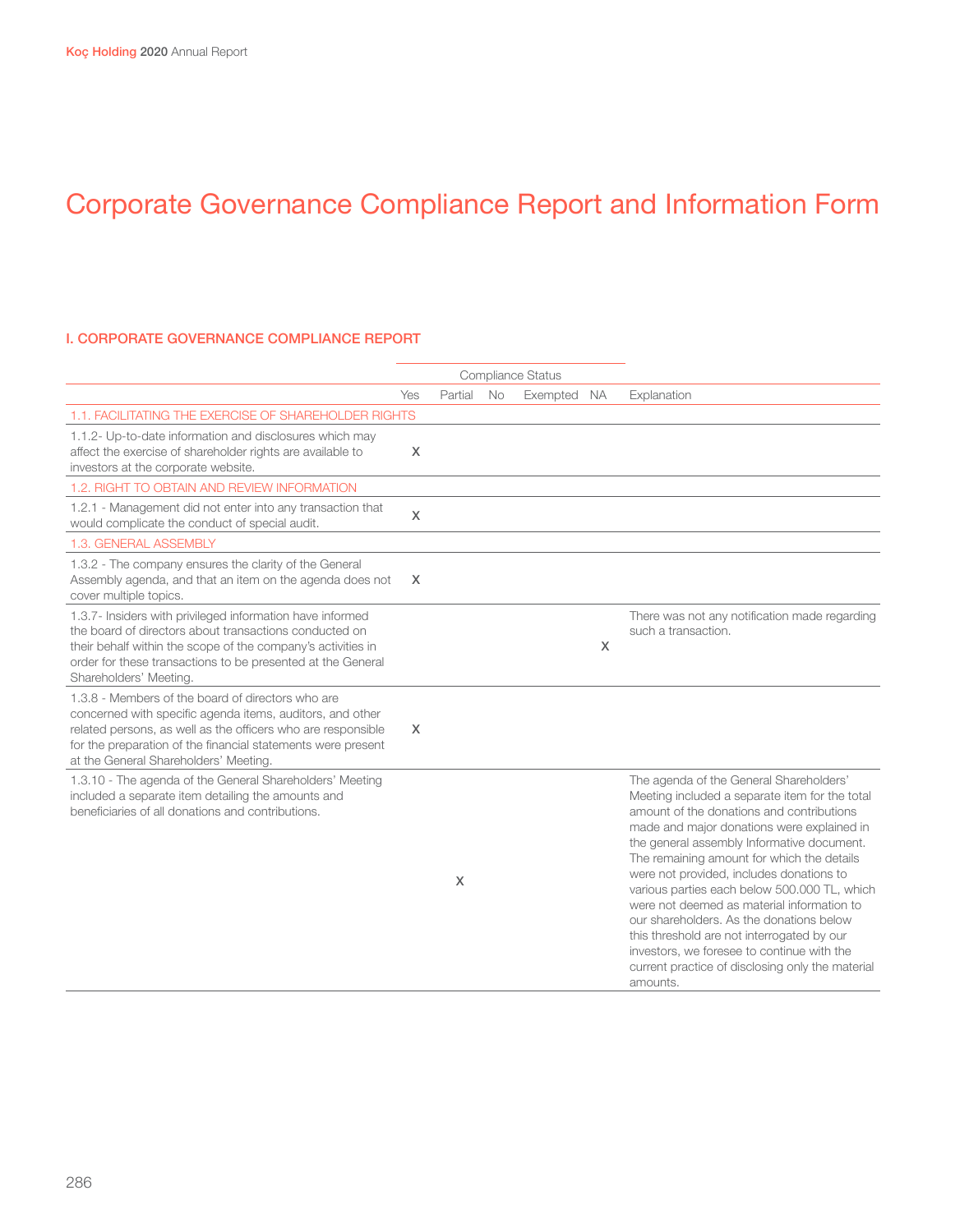#### I. CORPORATE GOVERNANCE COMPLIANCE REPORT

|                                                                                                                                                                                                                                                                                         |          |         |           | Compliance Status |     |                                                                                                                                                                                                                                                                                                                                                                                                                                                                                                                                                                                                                                    |
|-----------------------------------------------------------------------------------------------------------------------------------------------------------------------------------------------------------------------------------------------------------------------------------------|----------|---------|-----------|-------------------|-----|------------------------------------------------------------------------------------------------------------------------------------------------------------------------------------------------------------------------------------------------------------------------------------------------------------------------------------------------------------------------------------------------------------------------------------------------------------------------------------------------------------------------------------------------------------------------------------------------------------------------------------|
|                                                                                                                                                                                                                                                                                         | Yes      | Partial | <b>No</b> | Exempted          | NA. | Explanation                                                                                                                                                                                                                                                                                                                                                                                                                                                                                                                                                                                                                        |
| 1.1. FACILITATING THE EXERCISE OF SHAREHOLDER RIGHTS                                                                                                                                                                                                                                    |          |         |           |                   |     |                                                                                                                                                                                                                                                                                                                                                                                                                                                                                                                                                                                                                                    |
| 1.1.2- Up-to-date information and disclosures which may<br>affect the exercise of shareholder rights are available to<br>investors at the corporate website.                                                                                                                            | X        |         |           |                   |     |                                                                                                                                                                                                                                                                                                                                                                                                                                                                                                                                                                                                                                    |
| 1.2. RIGHT TO OBTAIN AND REVIEW INFORMATION                                                                                                                                                                                                                                             |          |         |           |                   |     |                                                                                                                                                                                                                                                                                                                                                                                                                                                                                                                                                                                                                                    |
| 1.2.1 - Management did not enter into any transaction that<br>would complicate the conduct of special audit.                                                                                                                                                                            | X        |         |           |                   |     |                                                                                                                                                                                                                                                                                                                                                                                                                                                                                                                                                                                                                                    |
| 1.3. GENERAL ASSEMBLY                                                                                                                                                                                                                                                                   |          |         |           |                   |     |                                                                                                                                                                                                                                                                                                                                                                                                                                                                                                                                                                                                                                    |
| 1.3.2 - The company ensures the clarity of the General<br>Assembly agenda, and that an item on the agenda does not<br>cover multiple topics.                                                                                                                                            | $\times$ |         |           |                   |     |                                                                                                                                                                                                                                                                                                                                                                                                                                                                                                                                                                                                                                    |
| 1.3.7- Insiders with privileged information have informed<br>the board of directors about transactions conducted on<br>their behalf within the scope of the company's activities in<br>order for these transactions to be presented at the General<br>Shareholders' Meeting.            |          |         |           |                   | X   | There was not any notification made regarding<br>such a transaction.                                                                                                                                                                                                                                                                                                                                                                                                                                                                                                                                                               |
| 1.3.8 - Members of the board of directors who are<br>concerned with specific agenda items, auditors, and other<br>related persons, as well as the officers who are responsible<br>for the preparation of the financial statements were present<br>at the General Shareholders' Meeting. | X        |         |           |                   |     |                                                                                                                                                                                                                                                                                                                                                                                                                                                                                                                                                                                                                                    |
| 1.3.10 - The agenda of the General Shareholders' Meeting<br>included a separate item detailing the amounts and<br>beneficiaries of all donations and contributions.                                                                                                                     |          | X       |           |                   |     | The agenda of the General Shareholders'<br>Meeting included a separate item for the total<br>amount of the donations and contributions<br>made and major donations were explained in<br>the general assembly Informative document.<br>The remaining amount for which the details<br>were not provided, includes donations to<br>various parties each below 500.000 TL, which<br>were not deemed as material information to<br>our shareholders. As the donations below<br>this threshold are not interrogated by our<br>investors, we foresee to continue with the<br>current practice of disclosing only the material<br>amounts. |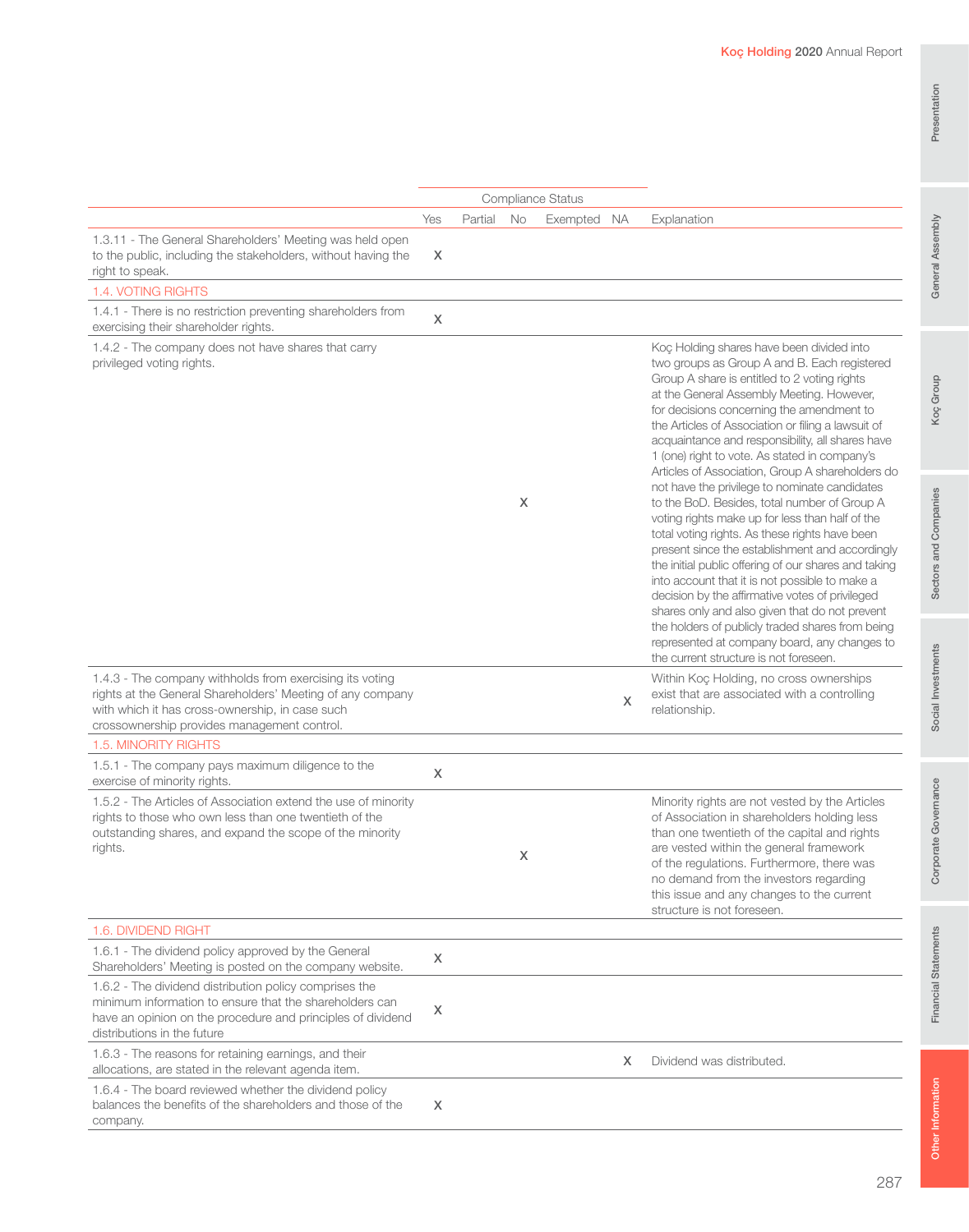|                                                                                                                                                                                                                          |     |         |    | <b>Compliance Status</b> |   |                                                                                                                                                                                                                                                                                                                                                                                                                                                                                                                                                                                                                                                                                                                                                                                                                                                                                                                                                                                                                                                                          |
|--------------------------------------------------------------------------------------------------------------------------------------------------------------------------------------------------------------------------|-----|---------|----|--------------------------|---|--------------------------------------------------------------------------------------------------------------------------------------------------------------------------------------------------------------------------------------------------------------------------------------------------------------------------------------------------------------------------------------------------------------------------------------------------------------------------------------------------------------------------------------------------------------------------------------------------------------------------------------------------------------------------------------------------------------------------------------------------------------------------------------------------------------------------------------------------------------------------------------------------------------------------------------------------------------------------------------------------------------------------------------------------------------------------|
|                                                                                                                                                                                                                          | Yes | Partial | No | Exempted NA              |   | Explanation                                                                                                                                                                                                                                                                                                                                                                                                                                                                                                                                                                                                                                                                                                                                                                                                                                                                                                                                                                                                                                                              |
| 1.3.11 - The General Shareholders' Meeting was held open<br>to the public, including the stakeholders, without having the<br>right to speak.                                                                             | X   |         |    |                          |   |                                                                                                                                                                                                                                                                                                                                                                                                                                                                                                                                                                                                                                                                                                                                                                                                                                                                                                                                                                                                                                                                          |
| 1.4. VOTING RIGHTS                                                                                                                                                                                                       |     |         |    |                          |   |                                                                                                                                                                                                                                                                                                                                                                                                                                                                                                                                                                                                                                                                                                                                                                                                                                                                                                                                                                                                                                                                          |
| 1.4.1 - There is no restriction preventing shareholders from<br>exercising their shareholder rights.                                                                                                                     | X   |         |    |                          |   |                                                                                                                                                                                                                                                                                                                                                                                                                                                                                                                                                                                                                                                                                                                                                                                                                                                                                                                                                                                                                                                                          |
| 1.4.2 - The company does not have shares that carry<br>privileged voting rights.                                                                                                                                         |     |         | X  |                          |   | Koç Holding shares have been divided into<br>two groups as Group A and B. Each registered<br>Group A share is entitled to 2 voting rights<br>at the General Assembly Meeting. However,<br>for decisions concerning the amendment to<br>the Articles of Association or filing a lawsuit of<br>acquaintance and responsibility, all shares have<br>1 (one) right to vote. As stated in company's<br>Articles of Association, Group A shareholders do<br>not have the privilege to nominate candidates<br>to the BoD. Besides, total number of Group A<br>voting rights make up for less than half of the<br>total voting rights. As these rights have been<br>present since the establishment and accordingly<br>the initial public offering of our shares and taking<br>into account that it is not possible to make a<br>decision by the affirmative votes of privileged<br>shares only and also given that do not prevent<br>the holders of publicly traded shares from being<br>represented at company board, any changes to<br>the current structure is not foreseen. |
| 1.4.3 - The company withholds from exercising its voting<br>rights at the General Shareholders' Meeting of any company<br>with which it has cross-ownership, in case such<br>crossownership provides management control. |     |         |    |                          | X | Within Koç Holding, no cross ownerships<br>exist that are associated with a controlling<br>relationship.                                                                                                                                                                                                                                                                                                                                                                                                                                                                                                                                                                                                                                                                                                                                                                                                                                                                                                                                                                 |
| 1.5. MINORITY RIGHTS                                                                                                                                                                                                     |     |         |    |                          |   |                                                                                                                                                                                                                                                                                                                                                                                                                                                                                                                                                                                                                                                                                                                                                                                                                                                                                                                                                                                                                                                                          |
| 1.5.1 - The company pays maximum diligence to the<br>exercise of minority rights.                                                                                                                                        | X   |         |    |                          |   |                                                                                                                                                                                                                                                                                                                                                                                                                                                                                                                                                                                                                                                                                                                                                                                                                                                                                                                                                                                                                                                                          |
| 1.5.2 - The Articles of Association extend the use of minority<br>rights to those who own less than one twentieth of the<br>outstanding shares, and expand the scope of the minority<br>rights.                          |     |         | X  |                          |   | Minority rights are not vested by the Articles<br>of Association in shareholders holding less<br>than one twentieth of the capital and rights<br>are vested within the general framework<br>of the regulations. Furthermore, there was<br>no demand from the investors regarding<br>this issue and any changes to the current<br>structure is not foreseen.                                                                                                                                                                                                                                                                                                                                                                                                                                                                                                                                                                                                                                                                                                              |
| 1.6. DIVIDEND RIGHT                                                                                                                                                                                                      |     |         |    |                          |   |                                                                                                                                                                                                                                                                                                                                                                                                                                                                                                                                                                                                                                                                                                                                                                                                                                                                                                                                                                                                                                                                          |
| 1.6.1 - The dividend policy approved by the General<br>Shareholders' Meeting is posted on the company website.                                                                                                           | X   |         |    |                          |   |                                                                                                                                                                                                                                                                                                                                                                                                                                                                                                                                                                                                                                                                                                                                                                                                                                                                                                                                                                                                                                                                          |
| 1.6.2 - The dividend distribution policy comprises the<br>minimum information to ensure that the shareholders can<br>have an opinion on the procedure and principles of dividend<br>distributions in the future          | x   |         |    |                          |   |                                                                                                                                                                                                                                                                                                                                                                                                                                                                                                                                                                                                                                                                                                                                                                                                                                                                                                                                                                                                                                                                          |
| 1.6.3 - The reasons for retaining earnings, and their<br>allocations, are stated in the relevant agenda item.                                                                                                            |     |         |    |                          | X | Dividend was distributed.                                                                                                                                                                                                                                                                                                                                                                                                                                                                                                                                                                                                                                                                                                                                                                                                                                                                                                                                                                                                                                                |
| 1.6.4 - The board reviewed whether the dividend policy<br>balances the benefits of the shareholders and those of the<br>company.                                                                                         | X   |         |    |                          |   |                                                                                                                                                                                                                                                                                                                                                                                                                                                                                                                                                                                                                                                                                                                                                                                                                                                                                                                                                                                                                                                                          |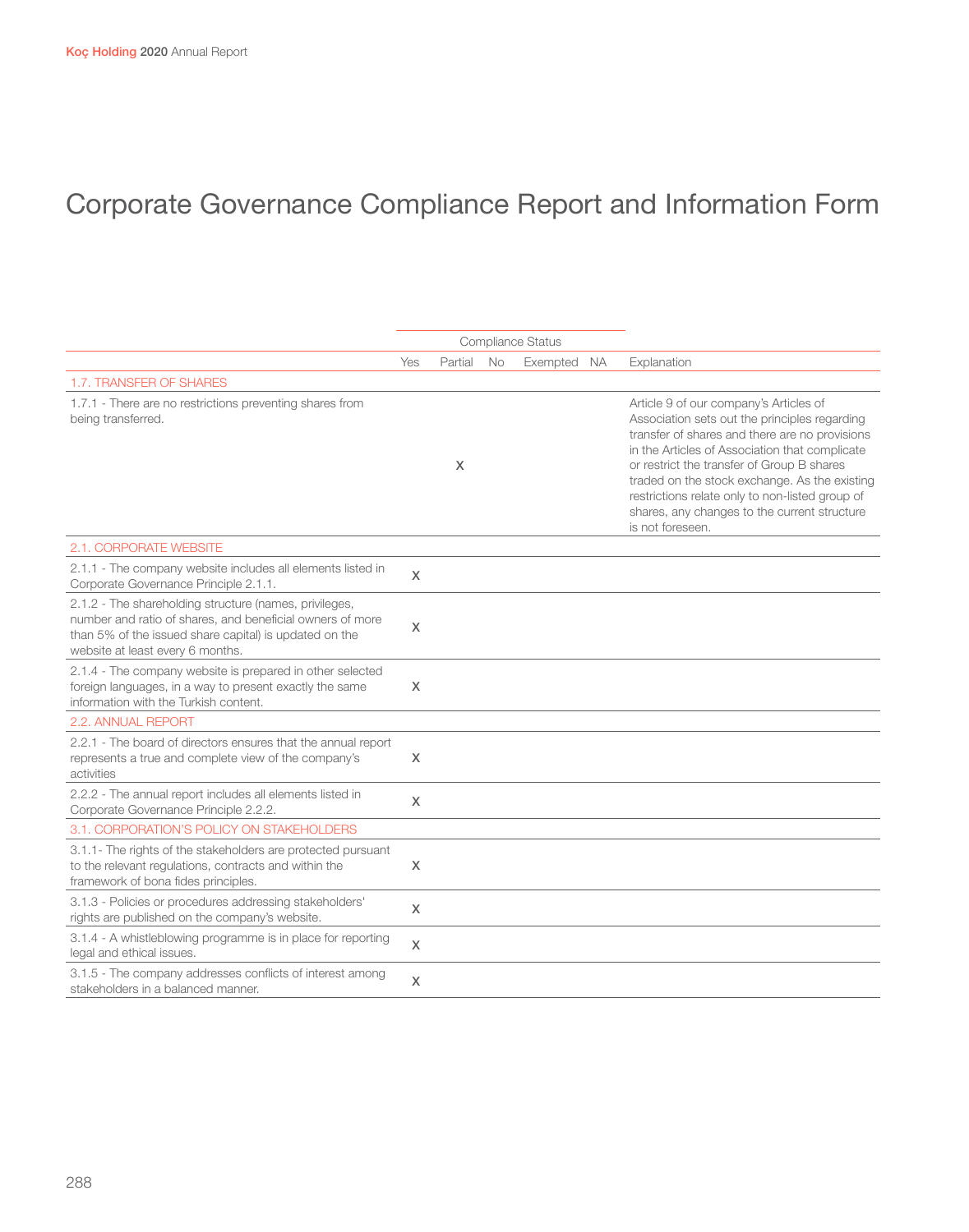|                                                                                                                                                                                                                   |     |         |    | Compliance Status |                                                                                                                                                                                                                                                                                                                                                                                                                   |
|-------------------------------------------------------------------------------------------------------------------------------------------------------------------------------------------------------------------|-----|---------|----|-------------------|-------------------------------------------------------------------------------------------------------------------------------------------------------------------------------------------------------------------------------------------------------------------------------------------------------------------------------------------------------------------------------------------------------------------|
|                                                                                                                                                                                                                   | Yes | Partial | No | Exempted NA       | Explanation                                                                                                                                                                                                                                                                                                                                                                                                       |
| 1.7. TRANSFER OF SHARES                                                                                                                                                                                           |     |         |    |                   |                                                                                                                                                                                                                                                                                                                                                                                                                   |
| 1.7.1 - There are no restrictions preventing shares from<br>being transferred.                                                                                                                                    |     | X       |    |                   | Article 9 of our company's Articles of<br>Association sets out the principles regarding<br>transfer of shares and there are no provisions<br>in the Articles of Association that complicate<br>or restrict the transfer of Group B shares<br>traded on the stock exchange. As the existing<br>restrictions relate only to non-listed group of<br>shares, any changes to the current structure<br>is not foreseen. |
| <b>2.1. CORPORATE WEBSITE</b>                                                                                                                                                                                     |     |         |    |                   |                                                                                                                                                                                                                                                                                                                                                                                                                   |
| 2.1.1 - The company website includes all elements listed in<br>Corporate Governance Principle 2.1.1.                                                                                                              | X   |         |    |                   |                                                                                                                                                                                                                                                                                                                                                                                                                   |
| 2.1.2 - The shareholding structure (names, privileges,<br>number and ratio of shares, and beneficial owners of more<br>than 5% of the issued share capital) is updated on the<br>website at least every 6 months. | X   |         |    |                   |                                                                                                                                                                                                                                                                                                                                                                                                                   |
| 2.1.4 - The company website is prepared in other selected<br>foreign languages, in a way to present exactly the same<br>information with the Turkish content.                                                     | X   |         |    |                   |                                                                                                                                                                                                                                                                                                                                                                                                                   |
| 2.2. ANNUAL REPORT                                                                                                                                                                                                |     |         |    |                   |                                                                                                                                                                                                                                                                                                                                                                                                                   |
| 2.2.1 - The board of directors ensures that the annual report<br>represents a true and complete view of the company's<br>activities                                                                               | X   |         |    |                   |                                                                                                                                                                                                                                                                                                                                                                                                                   |
| 2.2.2 - The annual report includes all elements listed in<br>Corporate Governance Principle 2.2.2.                                                                                                                | X   |         |    |                   |                                                                                                                                                                                                                                                                                                                                                                                                                   |
| 3.1. CORPORATION'S POLICY ON STAKEHOLDERS                                                                                                                                                                         |     |         |    |                   |                                                                                                                                                                                                                                                                                                                                                                                                                   |
| 3.1.1- The rights of the stakeholders are protected pursuant<br>to the relevant regulations, contracts and within the<br>framework of bona fides principles.                                                      | X   |         |    |                   |                                                                                                                                                                                                                                                                                                                                                                                                                   |
| 3.1.3 - Policies or procedures addressing stakeholders'<br>rights are published on the company's website.                                                                                                         | X   |         |    |                   |                                                                                                                                                                                                                                                                                                                                                                                                                   |
| 3.1.4 - A whistleblowing programme is in place for reporting<br>legal and ethical issues.                                                                                                                         | X   |         |    |                   |                                                                                                                                                                                                                                                                                                                                                                                                                   |
| 3.1.5 - The company addresses conflicts of interest among<br>stakeholders in a balanced manner.                                                                                                                   | X   |         |    |                   |                                                                                                                                                                                                                                                                                                                                                                                                                   |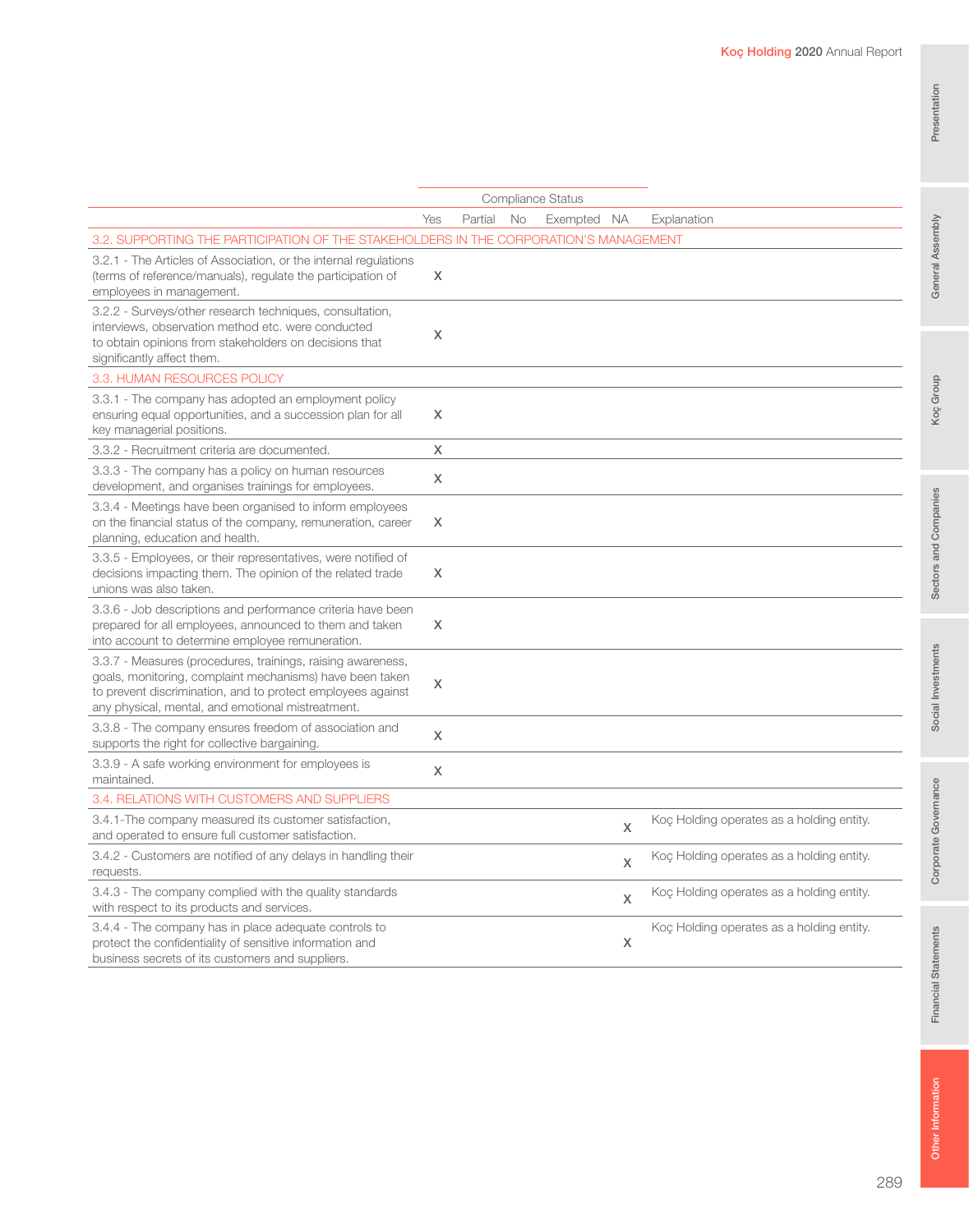| 3.2. SUPPORTING THE PARTICIPATION OF THE STAKEHOLDERS IN THE CORPORATION'S MANAGEMENT                                                                                                                                                       |   |   |                                           |
|---------------------------------------------------------------------------------------------------------------------------------------------------------------------------------------------------------------------------------------------|---|---|-------------------------------------------|
| 3.2.1 - The Articles of Association, or the internal regulations<br>(terms of reference/manuals), regulate the participation of<br>employees in management.                                                                                 | X |   |                                           |
| 3.2.2 - Surveys/other research techniques, consultation,<br>interviews, observation method etc. were conducted<br>to obtain opinions from stakeholders on decisions that<br>significantly affect them.                                      | X |   |                                           |
| 3.3. HUMAN RESOURCES POLICY                                                                                                                                                                                                                 |   |   |                                           |
| 3.3.1 - The company has adopted an employment policy<br>ensuring equal opportunities, and a succession plan for all<br>key managerial positions.                                                                                            | X |   |                                           |
| 3.3.2 - Recruitment criteria are documented.                                                                                                                                                                                                | X |   |                                           |
| 3.3.3 - The company has a policy on human resources<br>development, and organises trainings for employees.                                                                                                                                  | X |   |                                           |
| 3.3.4 - Meetings have been organised to inform employees<br>on the financial status of the company, remuneration, career<br>planning, education and health.                                                                                 | X |   |                                           |
| 3.3.5 - Employees, or their representatives, were notified of<br>decisions impacting them. The opinion of the related trade<br>unions was also taken.                                                                                       | X |   |                                           |
| 3.3.6 - Job descriptions and performance criteria have been<br>prepared for all employees, announced to them and taken<br>into account to determine employee remuneration.                                                                  | X |   |                                           |
| 3.3.7 - Measures (procedures, trainings, raising awareness,<br>goals, monitoring, complaint mechanisms) have been taken<br>to prevent discrimination, and to protect employees against<br>any physical, mental, and emotional mistreatment. | X |   |                                           |
| 3.3.8 - The company ensures freedom of association and<br>supports the right for collective bargaining.                                                                                                                                     | X |   |                                           |
| 3.3.9 - A safe working environment for employees is<br>maintained.                                                                                                                                                                          | X |   |                                           |
| 3.4. RELATIONS WITH CUSTOMERS AND SUPPLIERS                                                                                                                                                                                                 |   |   |                                           |
| 3.4.1-The company measured its customer satisfaction,<br>and operated to ensure full customer satisfaction.                                                                                                                                 |   | X | Koç Holding operates as a holding entity. |
| 3.4.2 - Customers are notified of any delays in handling their<br>requests.                                                                                                                                                                 |   | X | Koç Holding operates as a holding entity. |
| 3.4.3 - The company complied with the quality standards<br>with respect to its products and services.                                                                                                                                       |   | X | Koç Holding operates as a holding entity. |
| 3.4.4 - The company has in place adequate controls to<br>protect the confidentiality of sensitive information and<br>business secrets of its customers and suppliers.                                                                       |   | X | Koç Holding operates as a holding entity. |
|                                                                                                                                                                                                                                             |   |   |                                           |

Compliance Status

Yes Partial No Exempted NA Explanation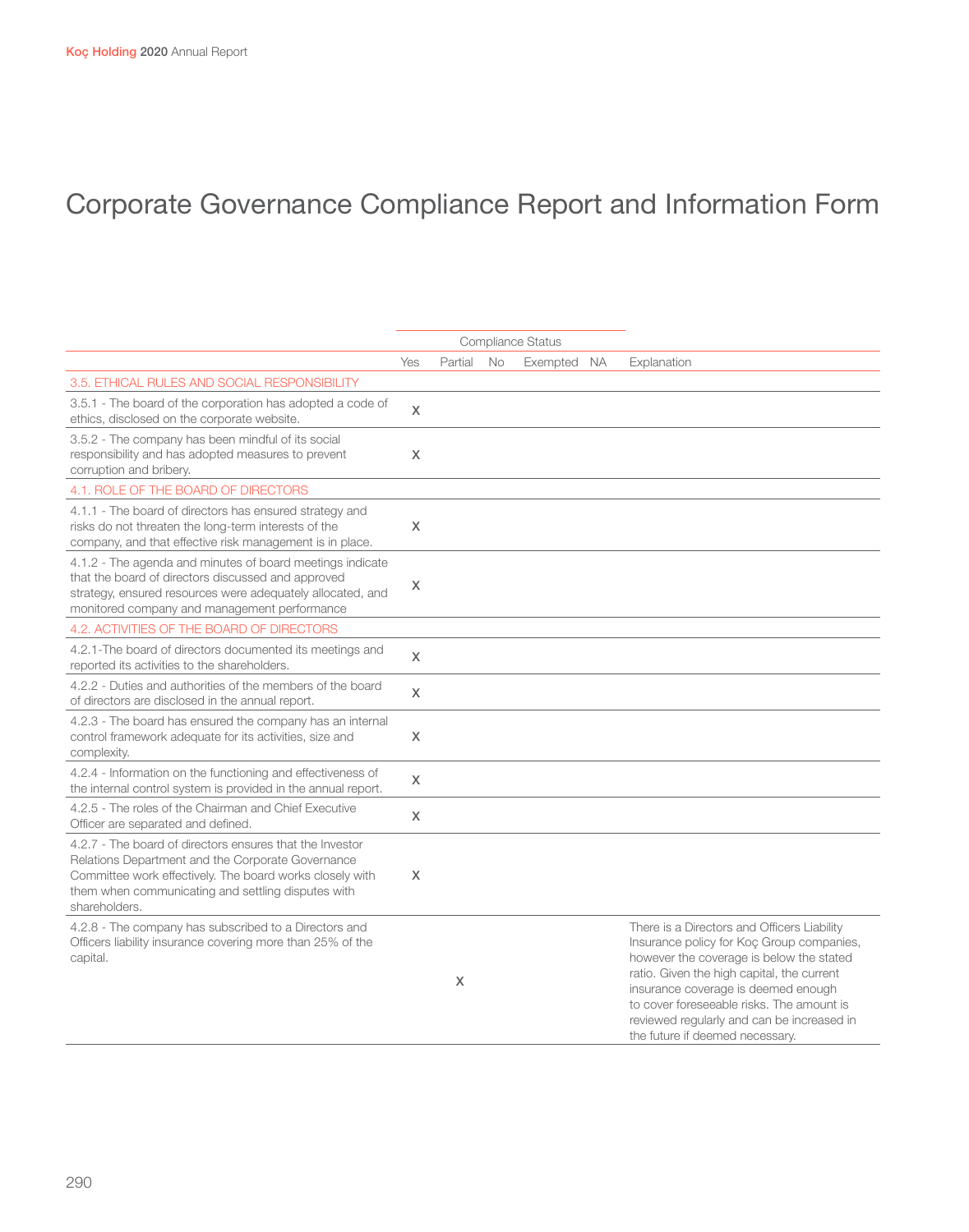|                                                                                                                                                                                                                                                  |     |         |    | Compliance Status |                                                                                                                                                                                                                                                                                                                                                         |
|--------------------------------------------------------------------------------------------------------------------------------------------------------------------------------------------------------------------------------------------------|-----|---------|----|-------------------|---------------------------------------------------------------------------------------------------------------------------------------------------------------------------------------------------------------------------------------------------------------------------------------------------------------------------------------------------------|
|                                                                                                                                                                                                                                                  | Yes | Partial | No | Exempted NA       | Explanation                                                                                                                                                                                                                                                                                                                                             |
| 3.5. ETHICAL RULES AND SOCIAL RESPONSIBILITY                                                                                                                                                                                                     |     |         |    |                   |                                                                                                                                                                                                                                                                                                                                                         |
| 3.5.1 - The board of the corporation has adopted a code of<br>ethics, disclosed on the corporate website.                                                                                                                                        | X   |         |    |                   |                                                                                                                                                                                                                                                                                                                                                         |
| 3.5.2 - The company has been mindful of its social<br>responsibility and has adopted measures to prevent<br>corruption and bribery.                                                                                                              | X   |         |    |                   |                                                                                                                                                                                                                                                                                                                                                         |
| 4.1. ROLE OF THE BOARD OF DIRECTORS                                                                                                                                                                                                              |     |         |    |                   |                                                                                                                                                                                                                                                                                                                                                         |
| 4.1.1 - The board of directors has ensured strategy and<br>risks do not threaten the long-term interests of the<br>company, and that effective risk management is in place.                                                                      | X   |         |    |                   |                                                                                                                                                                                                                                                                                                                                                         |
| 4.1.2 - The agenda and minutes of board meetings indicate<br>that the board of directors discussed and approved<br>strategy, ensured resources were adequately allocated, and<br>monitored company and management performance                    | X   |         |    |                   |                                                                                                                                                                                                                                                                                                                                                         |
| 4.2. ACTIVITIES OF THE BOARD OF DIRECTORS                                                                                                                                                                                                        |     |         |    |                   |                                                                                                                                                                                                                                                                                                                                                         |
| 4.2.1-The board of directors documented its meetings and<br>reported its activities to the shareholders.                                                                                                                                         | X   |         |    |                   |                                                                                                                                                                                                                                                                                                                                                         |
| 4.2.2 - Duties and authorities of the members of the board<br>of directors are disclosed in the annual report.                                                                                                                                   | X   |         |    |                   |                                                                                                                                                                                                                                                                                                                                                         |
| 4.2.3 - The board has ensured the company has an internal<br>control framework adequate for its activities, size and<br>complexity.                                                                                                              | X   |         |    |                   |                                                                                                                                                                                                                                                                                                                                                         |
| 4.2.4 - Information on the functioning and effectiveness of<br>the internal control system is provided in the annual report.                                                                                                                     | X   |         |    |                   |                                                                                                                                                                                                                                                                                                                                                         |
| 4.2.5 - The roles of the Chairman and Chief Executive<br>Officer are separated and defined.                                                                                                                                                      | X   |         |    |                   |                                                                                                                                                                                                                                                                                                                                                         |
| 4.2.7 - The board of directors ensures that the Investor<br>Relations Department and the Corporate Governance<br>Committee work effectively. The board works closely with<br>them when communicating and settling disputes with<br>shareholders. | X   |         |    |                   |                                                                                                                                                                                                                                                                                                                                                         |
| 4.2.8 - The company has subscribed to a Directors and<br>Officers liability insurance covering more than 25% of the<br>capital.                                                                                                                  |     | X       |    |                   | There is a Directors and Officers Liability<br>Insurance policy for Koç Group companies,<br>however the coverage is below the stated<br>ratio. Given the high capital, the current<br>insurance coverage is deemed enough<br>to cover foreseeable risks. The amount is<br>reviewed regularly and can be increased in<br>the future if deemed necessary. |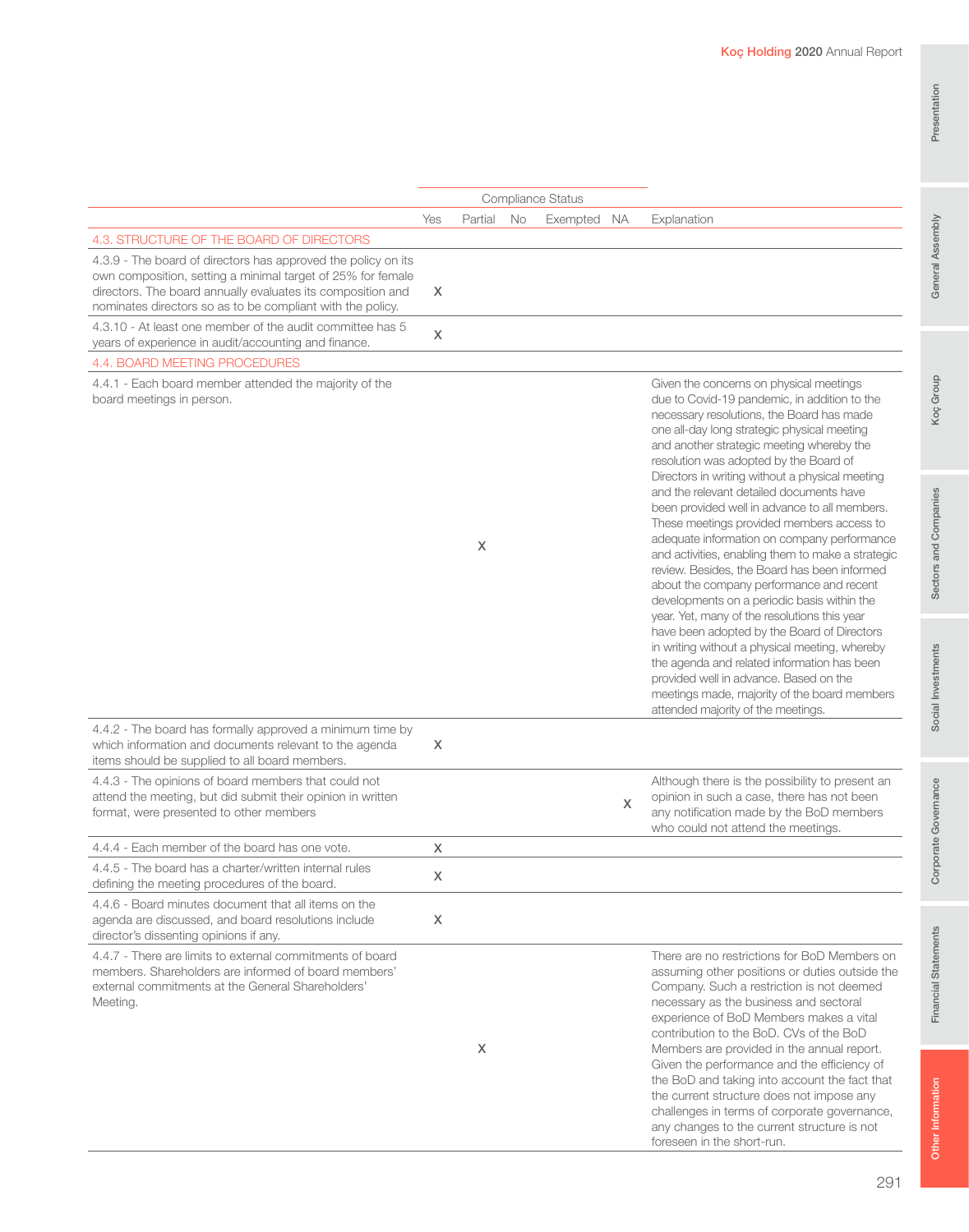|                                                                                                                                                                                                                                                           | Yes | Partial | No | Exempted NA |   | Explanation                                                                                                                                                                                                                                                                                                                                                                                                                                                                                                                                                                                                                                                                                                                                                                                                                                                                                                                                                                                                                                            |
|-----------------------------------------------------------------------------------------------------------------------------------------------------------------------------------------------------------------------------------------------------------|-----|---------|----|-------------|---|--------------------------------------------------------------------------------------------------------------------------------------------------------------------------------------------------------------------------------------------------------------------------------------------------------------------------------------------------------------------------------------------------------------------------------------------------------------------------------------------------------------------------------------------------------------------------------------------------------------------------------------------------------------------------------------------------------------------------------------------------------------------------------------------------------------------------------------------------------------------------------------------------------------------------------------------------------------------------------------------------------------------------------------------------------|
| 4.3. STRUCTURE OF THE BOARD OF DIRECTORS                                                                                                                                                                                                                  |     |         |    |             |   |                                                                                                                                                                                                                                                                                                                                                                                                                                                                                                                                                                                                                                                                                                                                                                                                                                                                                                                                                                                                                                                        |
| 4.3.9 - The board of directors has approved the policy on its<br>own composition, setting a minimal target of 25% for female<br>directors. The board annually evaluates its composition and<br>nominates directors so as to be compliant with the policy. | X   |         |    |             |   |                                                                                                                                                                                                                                                                                                                                                                                                                                                                                                                                                                                                                                                                                                                                                                                                                                                                                                                                                                                                                                                        |
| 4.3.10 - At least one member of the audit committee has 5<br>years of experience in audit/accounting and finance.                                                                                                                                         | X   |         |    |             |   |                                                                                                                                                                                                                                                                                                                                                                                                                                                                                                                                                                                                                                                                                                                                                                                                                                                                                                                                                                                                                                                        |
| 4.4. BOARD MEETING PROCEDURES                                                                                                                                                                                                                             |     |         |    |             |   |                                                                                                                                                                                                                                                                                                                                                                                                                                                                                                                                                                                                                                                                                                                                                                                                                                                                                                                                                                                                                                                        |
| 4.4.1 - Each board member attended the majority of the<br>board meetings in person.                                                                                                                                                                       |     | X       |    |             |   | Given the concerns on physical meetings<br>due to Covid-19 pandemic, in addition to the<br>necessary resolutions, the Board has made<br>one all-day long strategic physical meeting<br>and another strategic meeting whereby the<br>resolution was adopted by the Board of<br>Directors in writing without a physical meeting<br>and the relevant detailed documents have<br>been provided well in advance to all members.<br>These meetings provided members access to<br>adequate information on company performance<br>and activities, enabling them to make a strategic<br>review. Besides, the Board has been informed<br>about the company performance and recent<br>developments on a periodic basis within the<br>year. Yet, many of the resolutions this year<br>have been adopted by the Board of Directors<br>in writing without a physical meeting, whereby<br>the agenda and related information has been<br>provided well in advance. Based on the<br>meetings made, majority of the board members<br>attended majority of the meetings. |
| 4.4.2 - The board has formally approved a minimum time by<br>which information and documents relevant to the agenda<br>items should be supplied to all board members.                                                                                     | X   |         |    |             |   |                                                                                                                                                                                                                                                                                                                                                                                                                                                                                                                                                                                                                                                                                                                                                                                                                                                                                                                                                                                                                                                        |
| 4.4.3 - The opinions of board members that could not<br>attend the meeting, but did submit their opinion in written<br>format, were presented to other members                                                                                            |     |         |    |             | X | Although there is the possibility to present an<br>opinion in such a case, there has not been<br>any notification made by the BoD members<br>who could not attend the meetings.                                                                                                                                                                                                                                                                                                                                                                                                                                                                                                                                                                                                                                                                                                                                                                                                                                                                        |
| 4.4.4 - Each member of the board has one vote.                                                                                                                                                                                                            | X   |         |    |             |   |                                                                                                                                                                                                                                                                                                                                                                                                                                                                                                                                                                                                                                                                                                                                                                                                                                                                                                                                                                                                                                                        |
| 4.4.5 - The board has a charter/written internal rules<br>defining the meeting procedures of the board.                                                                                                                                                   | X   |         |    |             |   |                                                                                                                                                                                                                                                                                                                                                                                                                                                                                                                                                                                                                                                                                                                                                                                                                                                                                                                                                                                                                                                        |
| 4.4.6 - Board minutes document that all items on the<br>agenda are discussed, and board resolutions include<br>director's dissenting opinions if any.                                                                                                     | X   |         |    |             |   |                                                                                                                                                                                                                                                                                                                                                                                                                                                                                                                                                                                                                                                                                                                                                                                                                                                                                                                                                                                                                                                        |
| 4.4.7 - There are limits to external commitments of board<br>members. Shareholders are informed of board members'<br>external commitments at the General Shareholders'<br>Meeting.                                                                        |     | X       |    |             |   | There are no restrictions for BoD Members on<br>assuming other positions or duties outside the<br>Company. Such a restriction is not deemed<br>necessary as the business and sectoral<br>experience of BoD Members makes a vital<br>contribution to the BoD. CVs of the BoD<br>Members are provided in the annual report.<br>Given the performance and the efficiency of<br>the BoD and taking into account the fact that<br>the current structure does not impose any                                                                                                                                                                                                                                                                                                                                                                                                                                                                                                                                                                                 |

Compliance Status

challenges in terms of corporate governance, any changes to the current structure is not

foreseen in the short-run.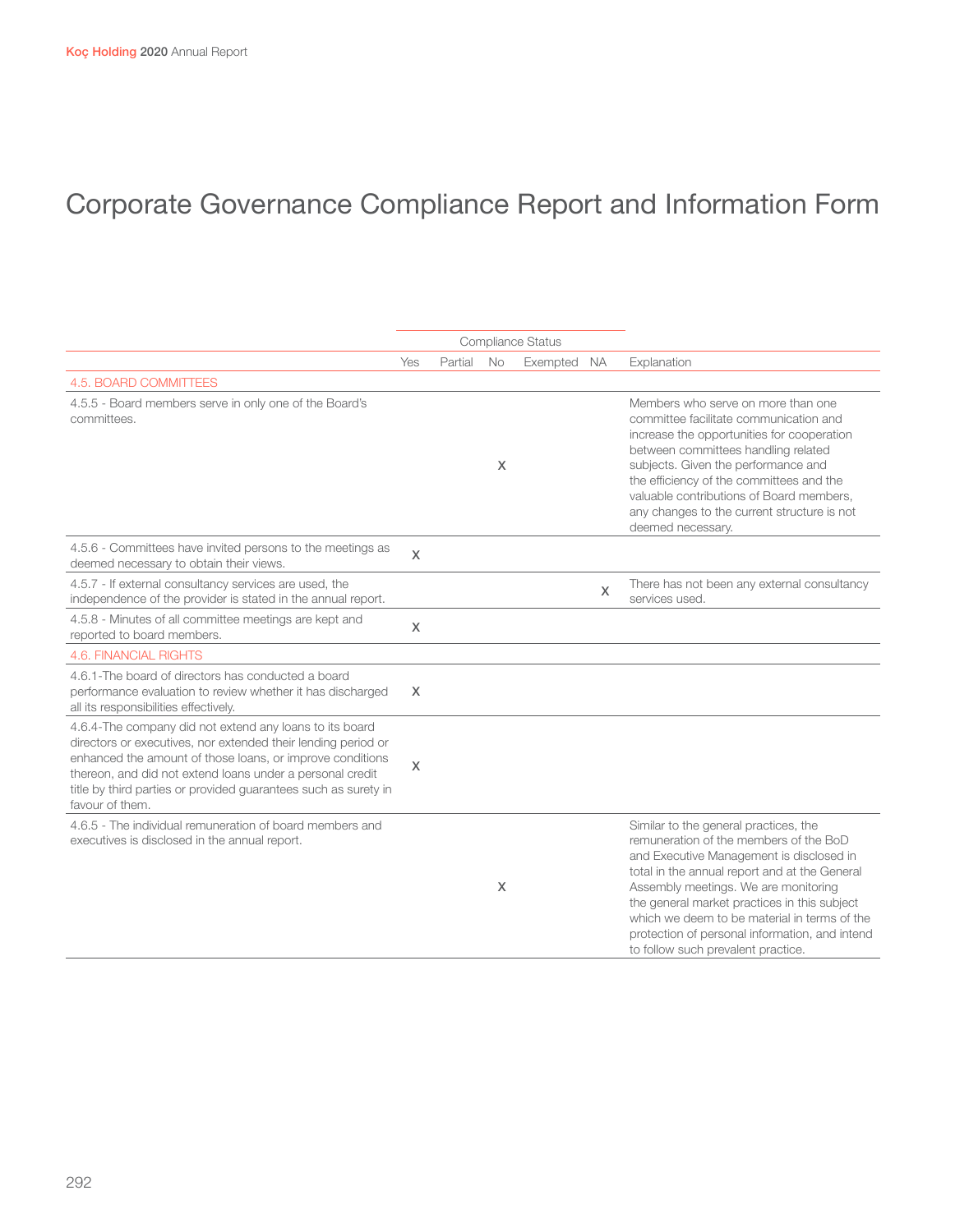|                                                                                                                                                                                                                                                                                                                                          |              |         |    | <b>Compliance Status</b> |   |                                                                                                                                                                                                                                                                                                                                                                                                              |  |
|------------------------------------------------------------------------------------------------------------------------------------------------------------------------------------------------------------------------------------------------------------------------------------------------------------------------------------------|--------------|---------|----|--------------------------|---|--------------------------------------------------------------------------------------------------------------------------------------------------------------------------------------------------------------------------------------------------------------------------------------------------------------------------------------------------------------------------------------------------------------|--|
|                                                                                                                                                                                                                                                                                                                                          | Yes          | Partial | No | Exempted NA              |   | Explanation                                                                                                                                                                                                                                                                                                                                                                                                  |  |
| 4.5. BOARD COMMITTEES                                                                                                                                                                                                                                                                                                                    |              |         |    |                          |   |                                                                                                                                                                                                                                                                                                                                                                                                              |  |
| 4.5.5 - Board members serve in only one of the Board's<br>committees.                                                                                                                                                                                                                                                                    |              |         | X  |                          |   | Members who serve on more than one<br>committee facilitate communication and<br>increase the opportunities for cooperation<br>between committees handling related<br>subjects. Given the performance and<br>the efficiency of the committees and the<br>valuable contributions of Board members,<br>any changes to the current structure is not<br>deemed necessary.                                         |  |
| 4.5.6 - Committees have invited persons to the meetings as<br>deemed necessary to obtain their views.                                                                                                                                                                                                                                    | $\chi$       |         |    |                          |   |                                                                                                                                                                                                                                                                                                                                                                                                              |  |
| 4.5.7 - If external consultancy services are used, the<br>independence of the provider is stated in the annual report.                                                                                                                                                                                                                   |              |         |    |                          | X | There has not been any external consultancy<br>services used.                                                                                                                                                                                                                                                                                                                                                |  |
| 4.5.8 - Minutes of all committee meetings are kept and<br>reported to board members.                                                                                                                                                                                                                                                     | $\mathsf{X}$ |         |    |                          |   |                                                                                                                                                                                                                                                                                                                                                                                                              |  |
| <b>4.6. FINANCIAL RIGHTS</b>                                                                                                                                                                                                                                                                                                             |              |         |    |                          |   |                                                                                                                                                                                                                                                                                                                                                                                                              |  |
| 4.6.1-The board of directors has conducted a board<br>performance evaluation to review whether it has discharged<br>all its responsibilities effectively.                                                                                                                                                                                | X            |         |    |                          |   |                                                                                                                                                                                                                                                                                                                                                                                                              |  |
| 4.6.4-The company did not extend any loans to its board<br>directors or executives, nor extended their lending period or<br>enhanced the amount of those loans, or improve conditions<br>thereon, and did not extend loans under a personal credit<br>title by third parties or provided guarantees such as surety in<br>favour of them. | $\times$     |         |    |                          |   |                                                                                                                                                                                                                                                                                                                                                                                                              |  |
| 4.6.5 - The individual remuneration of board members and<br>executives is disclosed in the annual report.                                                                                                                                                                                                                                |              |         | X  |                          |   | Similar to the general practices, the<br>remuneration of the members of the BoD<br>and Executive Management is disclosed in<br>total in the annual report and at the General<br>Assembly meetings. We are monitoring<br>the general market practices in this subject<br>which we deem to be material in terms of the<br>protection of personal information, and intend<br>to follow such prevalent practice. |  |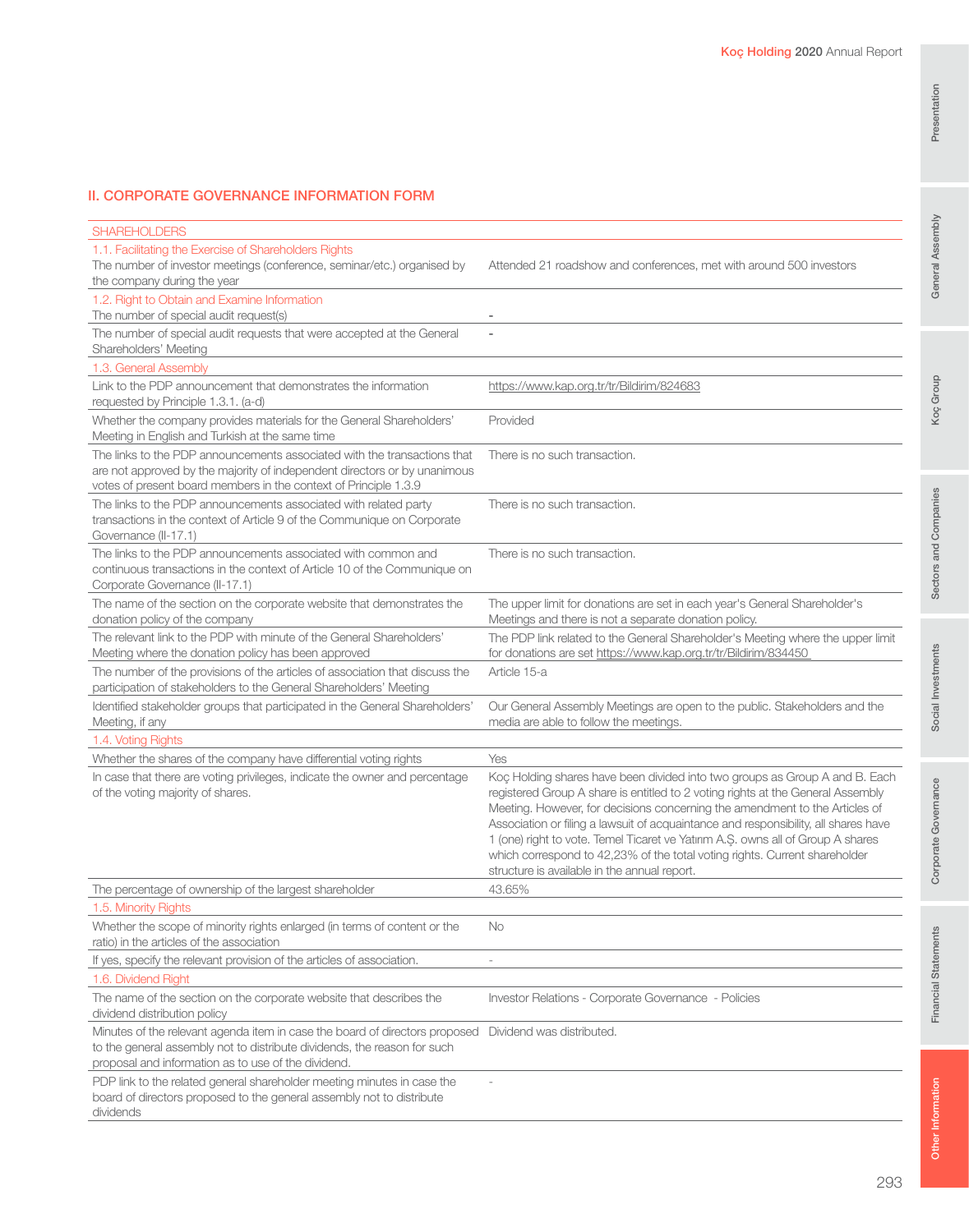# General Assembly

#### II. CORPORATE GOVERNANCE INFORMATION FORM

| <b>SHAREHOLDERS</b>                                                                                                                                                                                                       |                                                                                                                                                                                                                                                                                                                                                                                                                                                                                                                                                       |
|---------------------------------------------------------------------------------------------------------------------------------------------------------------------------------------------------------------------------|-------------------------------------------------------------------------------------------------------------------------------------------------------------------------------------------------------------------------------------------------------------------------------------------------------------------------------------------------------------------------------------------------------------------------------------------------------------------------------------------------------------------------------------------------------|
| 1.1. Facilitating the Exercise of Shareholders Rights<br>The number of investor meetings (conference, seminar/etc.) organised by<br>the company during the year                                                           | Attended 21 roadshow and conferences, met with around 500 investors                                                                                                                                                                                                                                                                                                                                                                                                                                                                                   |
| 1.2. Right to Obtain and Examine Information                                                                                                                                                                              |                                                                                                                                                                                                                                                                                                                                                                                                                                                                                                                                                       |
| The number of special audit request(s)                                                                                                                                                                                    |                                                                                                                                                                                                                                                                                                                                                                                                                                                                                                                                                       |
| The number of special audit requests that were accepted at the General<br>Shareholders' Meeting                                                                                                                           |                                                                                                                                                                                                                                                                                                                                                                                                                                                                                                                                                       |
| 1.3. General Assembly                                                                                                                                                                                                     |                                                                                                                                                                                                                                                                                                                                                                                                                                                                                                                                                       |
| Link to the PDP announcement that demonstrates the information<br>requested by Principle 1.3.1. (a-d)                                                                                                                     | https://www.kap.org.tr/tr/Bildirim/824683                                                                                                                                                                                                                                                                                                                                                                                                                                                                                                             |
| Whether the company provides materials for the General Shareholders'<br>Meeting in English and Turkish at the same time                                                                                                   | Provided                                                                                                                                                                                                                                                                                                                                                                                                                                                                                                                                              |
| The links to the PDP announcements associated with the transactions that<br>are not approved by the majority of independent directors or by unanimous<br>votes of present board members in the context of Principle 1.3.9 | There is no such transaction.                                                                                                                                                                                                                                                                                                                                                                                                                                                                                                                         |
| The links to the PDP announcements associated with related party<br>transactions in the context of Article 9 of the Communique on Corporate<br>Governance (II-17.1)                                                       | There is no such transaction.                                                                                                                                                                                                                                                                                                                                                                                                                                                                                                                         |
| The links to the PDP announcements associated with common and<br>continuous transactions in the context of Article 10 of the Communique on<br>Corporate Governance (II-17.1)                                              | There is no such transaction.                                                                                                                                                                                                                                                                                                                                                                                                                                                                                                                         |
| The name of the section on the corporate website that demonstrates the<br>donation policy of the company                                                                                                                  | The upper limit for donations are set in each year's General Shareholder's<br>Meetings and there is not a separate donation policy.                                                                                                                                                                                                                                                                                                                                                                                                                   |
| The relevant link to the PDP with minute of the General Shareholders'<br>Meeting where the donation policy has been approved                                                                                              | The PDP link related to the General Shareholder's Meeting where the upper limit<br>for donations are set https://www.kap.org.tr/tr/Bildirim/834450                                                                                                                                                                                                                                                                                                                                                                                                    |
| The number of the provisions of the articles of association that discuss the<br>participation of stakeholders to the General Shareholders' Meeting                                                                        | Article 15-a                                                                                                                                                                                                                                                                                                                                                                                                                                                                                                                                          |
| Identified stakeholder groups that participated in the General Shareholders'<br>Meeting, if any                                                                                                                           | Our General Assembly Meetings are open to the public. Stakeholders and the<br>media are able to follow the meetings.                                                                                                                                                                                                                                                                                                                                                                                                                                  |
| 1.4. Voting Rights                                                                                                                                                                                                        |                                                                                                                                                                                                                                                                                                                                                                                                                                                                                                                                                       |
| Whether the shares of the company have differential voting rights                                                                                                                                                         | Yes                                                                                                                                                                                                                                                                                                                                                                                                                                                                                                                                                   |
| In case that there are voting privileges, indicate the owner and percentage<br>of the voting majority of shares.                                                                                                          | Koç Holding shares have been divided into two groups as Group A and B. Each<br>registered Group A share is entitled to 2 voting rights at the General Assembly<br>Meeting. However, for decisions concerning the amendment to the Articles of<br>Association or filing a lawsuit of acquaintance and responsibility, all shares have<br>1 (one) right to vote. Temel Ticaret ve Yatırım A.Ş. owns all of Group A shares<br>which correspond to 42,23% of the total voting rights. Current shareholder<br>structure is available in the annual report. |
| The percentage of ownership of the largest shareholder                                                                                                                                                                    | 43.65%                                                                                                                                                                                                                                                                                                                                                                                                                                                                                                                                                |
| 1.5. Minority Rights                                                                                                                                                                                                      |                                                                                                                                                                                                                                                                                                                                                                                                                                                                                                                                                       |
| Whether the scope of minority rights enlarged (in terms of content or the<br>ratio) in the articles of the association                                                                                                    | No                                                                                                                                                                                                                                                                                                                                                                                                                                                                                                                                                    |
| If yes, specify the relevant provision of the articles of association.                                                                                                                                                    |                                                                                                                                                                                                                                                                                                                                                                                                                                                                                                                                                       |
| 1.6. Dividend Right                                                                                                                                                                                                       |                                                                                                                                                                                                                                                                                                                                                                                                                                                                                                                                                       |
| The name of the section on the corporate website that describes the<br>dividend distribution policy                                                                                                                       | Investor Relations - Corporate Governance - Policies                                                                                                                                                                                                                                                                                                                                                                                                                                                                                                  |
| Minutes of the relevant agenda item in case the board of directors proposed<br>to the general assembly not to distribute dividends, the reason for such<br>proposal and information as to use of the dividend.            | Dividend was distributed.                                                                                                                                                                                                                                                                                                                                                                                                                                                                                                                             |
| PDP link to the related general shareholder meeting minutes in case the<br>board of directors proposed to the general assembly not to distribute<br>dividends                                                             |                                                                                                                                                                                                                                                                                                                                                                                                                                                                                                                                                       |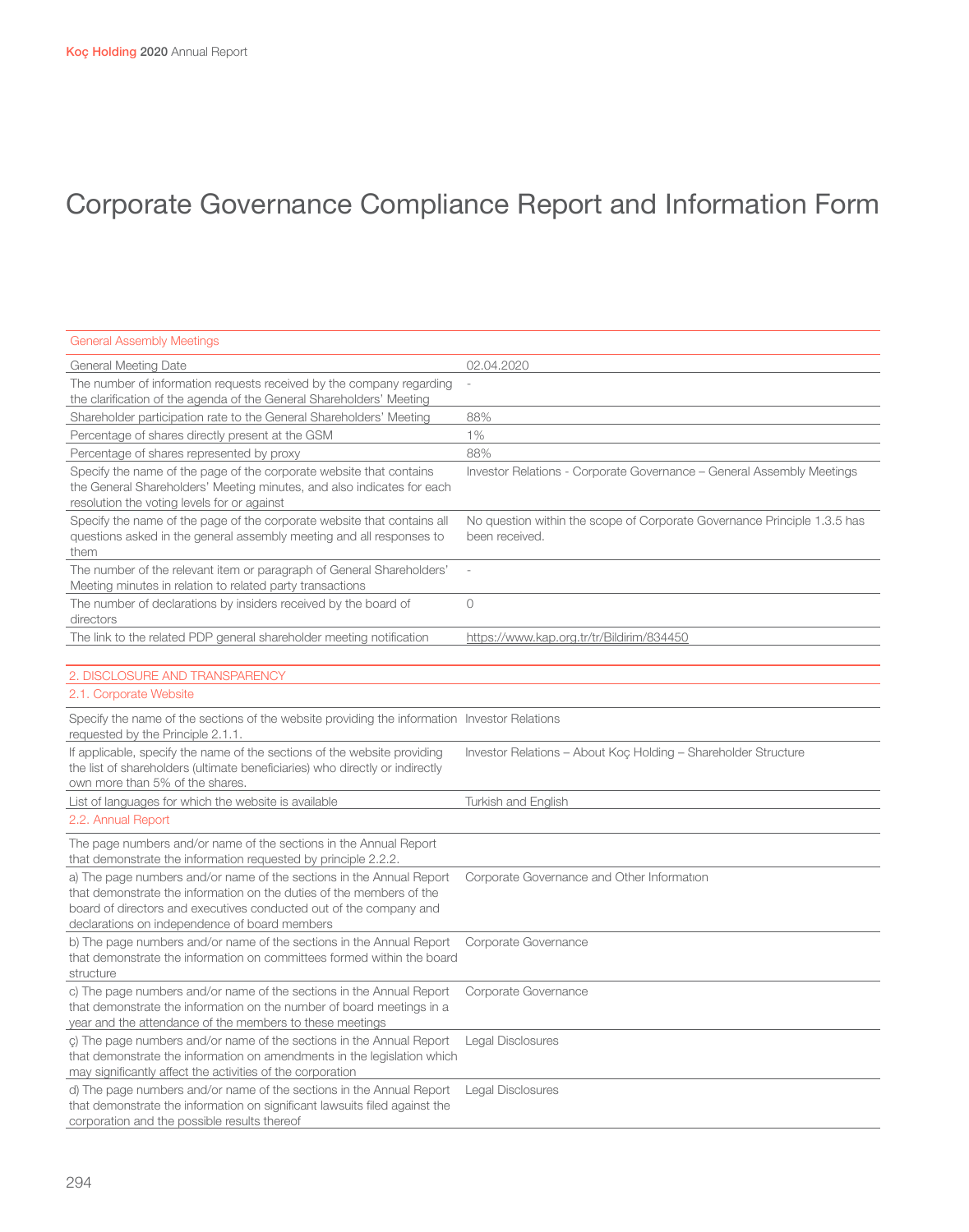| <b>General Assembly Meetings</b>                                                                                                                                                                                                                                    |                                                                                            |
|---------------------------------------------------------------------------------------------------------------------------------------------------------------------------------------------------------------------------------------------------------------------|--------------------------------------------------------------------------------------------|
| General Meeting Date                                                                                                                                                                                                                                                | 02.04.2020                                                                                 |
| The number of information requests received by the company regarding<br>the clarification of the agenda of the General Shareholders' Meeting                                                                                                                        |                                                                                            |
| Shareholder participation rate to the General Shareholders' Meeting                                                                                                                                                                                                 | 88%                                                                                        |
| Percentage of shares directly present at the GSM                                                                                                                                                                                                                    | $1\%$                                                                                      |
| Percentage of shares represented by proxy                                                                                                                                                                                                                           | 88%                                                                                        |
| Specify the name of the page of the corporate website that contains<br>the General Shareholders' Meeting minutes, and also indicates for each<br>resolution the voting levels for or against                                                                        | Investor Relations - Corporate Governance - General Assembly Meetings                      |
| Specify the name of the page of the corporate website that contains all<br>questions asked in the general assembly meeting and all responses to<br>them                                                                                                             | No question within the scope of Corporate Governance Principle 1.3.5 has<br>been received. |
| The number of the relevant item or paragraph of General Shareholders'<br>Meeting minutes in relation to related party transactions                                                                                                                                  |                                                                                            |
| The number of declarations by insiders received by the board of<br>directors                                                                                                                                                                                        | $\overline{O}$                                                                             |
| The link to the related PDP general shareholder meeting notification                                                                                                                                                                                                | https://www.kap.org.tr/tr/Bildirim/834450                                                  |
| 2. DISCLOSURE AND TRANSPARENCY                                                                                                                                                                                                                                      |                                                                                            |
| 2.1. Corporate Website                                                                                                                                                                                                                                              |                                                                                            |
| Specify the name of the sections of the website providing the information Investor Relations<br>requested by the Principle 2.1.1.                                                                                                                                   |                                                                                            |
| If applicable, specify the name of the sections of the website providing<br>the list of shareholders (ultimate beneficiaries) who directly or indirectly<br>own more than 5% of the shares.                                                                         | Investor Relations - About Koç Holding - Shareholder Structure                             |
| List of languages for which the website is available                                                                                                                                                                                                                | Turkish and English                                                                        |
| 2.2. Annual Report                                                                                                                                                                                                                                                  |                                                                                            |
| The page numbers and/or name of the sections in the Annual Report<br>that demonstrate the information requested by principle 2.2.2.                                                                                                                                 |                                                                                            |
| a) The page numbers and/or name of the sections in the Annual Report<br>that demonstrate the information on the duties of the members of the<br>board of directors and executives conducted out of the company and<br>declarations on independence of board members | Corporate Governance and Other Information                                                 |
| b) The page numbers and/or name of the sections in the Annual Report<br>that demonstrate the information on committees formed within the board<br>structure                                                                                                         | Corporate Governance                                                                       |
| c) The page numbers and/or name of the sections in the Annual Report<br>that demonstrate the information on the number of board meetings in a<br>year and the attendance of the members to these meetings                                                           | Corporate Governance                                                                       |
| c) The page numbers and/or name of the sections in the Annual Report<br>that demonstrate the information on amendments in the legislation which<br>may significantly affect the activities of the corporation                                                       | Legal Disclosures                                                                          |
| d) The page numbers and/or name of the sections in the Annual Report<br>that demonstrate the information on significant lawsuits filed against the<br>corporation and the possible results thereof                                                                  | Legal Disclosures                                                                          |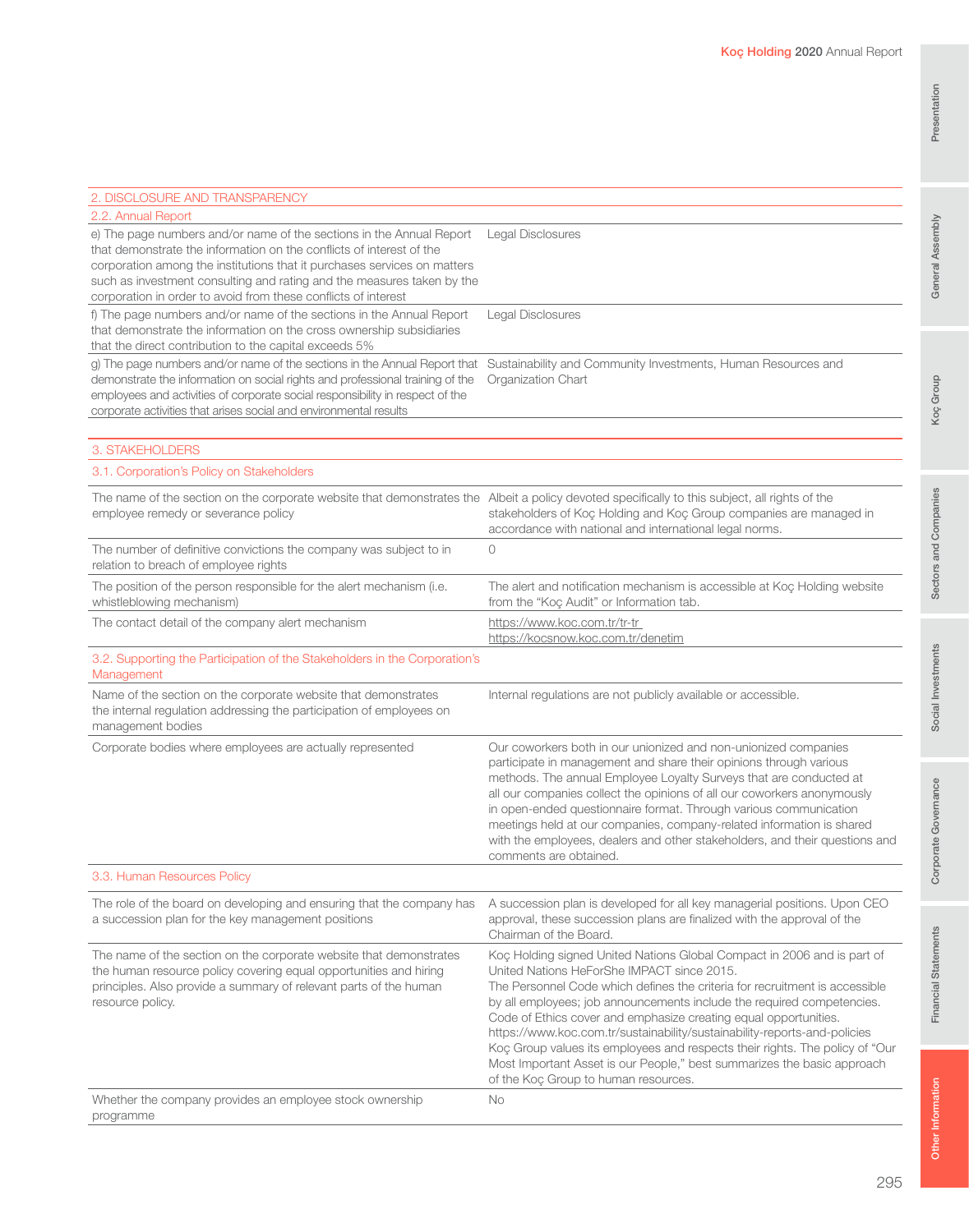| e) The page numbers and/or name of the sections in the Annual Report<br>that demonstrate the information on the conflicts of interest of the<br>corporation among the institutions that it purchases services on matters<br>such as investment consulting and rating and the measures taken by the<br>corporation in order to avoid from these conflicts of interest | Legal Disclosures                                                                                                                                                                                                                                                                                                                                                                                                                                                                                                                                                                                                                  |
|----------------------------------------------------------------------------------------------------------------------------------------------------------------------------------------------------------------------------------------------------------------------------------------------------------------------------------------------------------------------|------------------------------------------------------------------------------------------------------------------------------------------------------------------------------------------------------------------------------------------------------------------------------------------------------------------------------------------------------------------------------------------------------------------------------------------------------------------------------------------------------------------------------------------------------------------------------------------------------------------------------------|
| f) The page numbers and/or name of the sections in the Annual Report<br>that demonstrate the information on the cross ownership subsidiaries<br>that the direct contribution to the capital exceeds 5%                                                                                                                                                               | Legal Disclosures                                                                                                                                                                                                                                                                                                                                                                                                                                                                                                                                                                                                                  |
| g) The page numbers and/or name of the sections in the Annual Report that<br>demonstrate the information on social rights and professional training of the<br>employees and activities of corporate social responsibility in respect of the<br>corporate activities that arises social and environmental results                                                     | Sustainability and Community Investments, Human Resources and<br>Organization Chart                                                                                                                                                                                                                                                                                                                                                                                                                                                                                                                                                |
| 3. STAKEHOLDERS                                                                                                                                                                                                                                                                                                                                                      |                                                                                                                                                                                                                                                                                                                                                                                                                                                                                                                                                                                                                                    |
| 3.1. Corporation's Policy on Stakeholders                                                                                                                                                                                                                                                                                                                            |                                                                                                                                                                                                                                                                                                                                                                                                                                                                                                                                                                                                                                    |
| The name of the section on the corporate website that demonstrates the Albeit a policy devoted specifically to this subject, all rights of the<br>employee remedy or severance policy                                                                                                                                                                                | stakeholders of Koç Holding and Koç Group companies are managed in<br>accordance with national and international legal norms.                                                                                                                                                                                                                                                                                                                                                                                                                                                                                                      |
| The number of definitive convictions the company was subject to in<br>relation to breach of employee rights                                                                                                                                                                                                                                                          | $\circ$                                                                                                                                                                                                                                                                                                                                                                                                                                                                                                                                                                                                                            |
| The position of the person responsible for the alert mechanism (i.e.<br>whistleblowing mechanism)                                                                                                                                                                                                                                                                    | The alert and notification mechanism is accessible at Koç Holding website<br>from the "Koc Audit" or Information tab.                                                                                                                                                                                                                                                                                                                                                                                                                                                                                                              |
| The contact detail of the company alert mechanism                                                                                                                                                                                                                                                                                                                    | https://www.koc.com.tr/tr-tr<br>https://kocsnow.koc.com.tr/denetim                                                                                                                                                                                                                                                                                                                                                                                                                                                                                                                                                                 |
| 3.2. Supporting the Participation of the Stakeholders in the Corporation's<br>Management                                                                                                                                                                                                                                                                             |                                                                                                                                                                                                                                                                                                                                                                                                                                                                                                                                                                                                                                    |
| Name of the section on the corporate website that demonstrates<br>the internal regulation addressing the participation of employees on<br>management bodies                                                                                                                                                                                                          | Internal regulations are not publicly available or accessible.                                                                                                                                                                                                                                                                                                                                                                                                                                                                                                                                                                     |
| Corporate bodies where employees are actually represented                                                                                                                                                                                                                                                                                                            | Our coworkers both in our unionized and non-unionized companies<br>participate in management and share their opinions through various<br>methods. The annual Employee Loyalty Surveys that are conducted at<br>all our companies collect the opinions of all our coworkers anonymously<br>in open-ended questionnaire format. Through various communication<br>meetings held at our companies, company-related information is shared<br>with the employees, dealers and other stakeholders, and their questions and<br>comments are obtained.                                                                                      |
| 3.3. Human Resources Policy                                                                                                                                                                                                                                                                                                                                          |                                                                                                                                                                                                                                                                                                                                                                                                                                                                                                                                                                                                                                    |
| The role of the board on developing and ensuring that the company has<br>a succession plan for the key management positions                                                                                                                                                                                                                                          | A succession plan is developed for all key managerial positions. Upon CEO<br>approval, these succession plans are finalized with the approval of the<br>Chairman of the Board.                                                                                                                                                                                                                                                                                                                                                                                                                                                     |
| The name of the section on the corporate website that demonstrates<br>the human resource policy covering equal opportunities and hiring<br>principles. Also provide a summary of relevant parts of the human<br>resource policy.                                                                                                                                     | Koç Holding signed United Nations Global Compact in 2006 and is part of<br>United Nations HeForShe IMPACT since 2015.<br>The Personnel Code which defines the criteria for recruitment is accessible<br>by all employees; job announcements include the required competencies.<br>Code of Ethics cover and emphasize creating equal opportunities.<br>https://www.koc.com.tr/sustainability/sustainability-reports-and-policies<br>Koç Group values its employees and respects their rights. The policy of "Our<br>Most Important Asset is our People," best summarizes the basic approach<br>of the Koç Group to human resources. |
| Whether the company provides an employee stock ownership<br>programme                                                                                                                                                                                                                                                                                                | No                                                                                                                                                                                                                                                                                                                                                                                                                                                                                                                                                                                                                                 |

2. DISCLOSURE AND TRANSPARENCY

2.2. Annual Report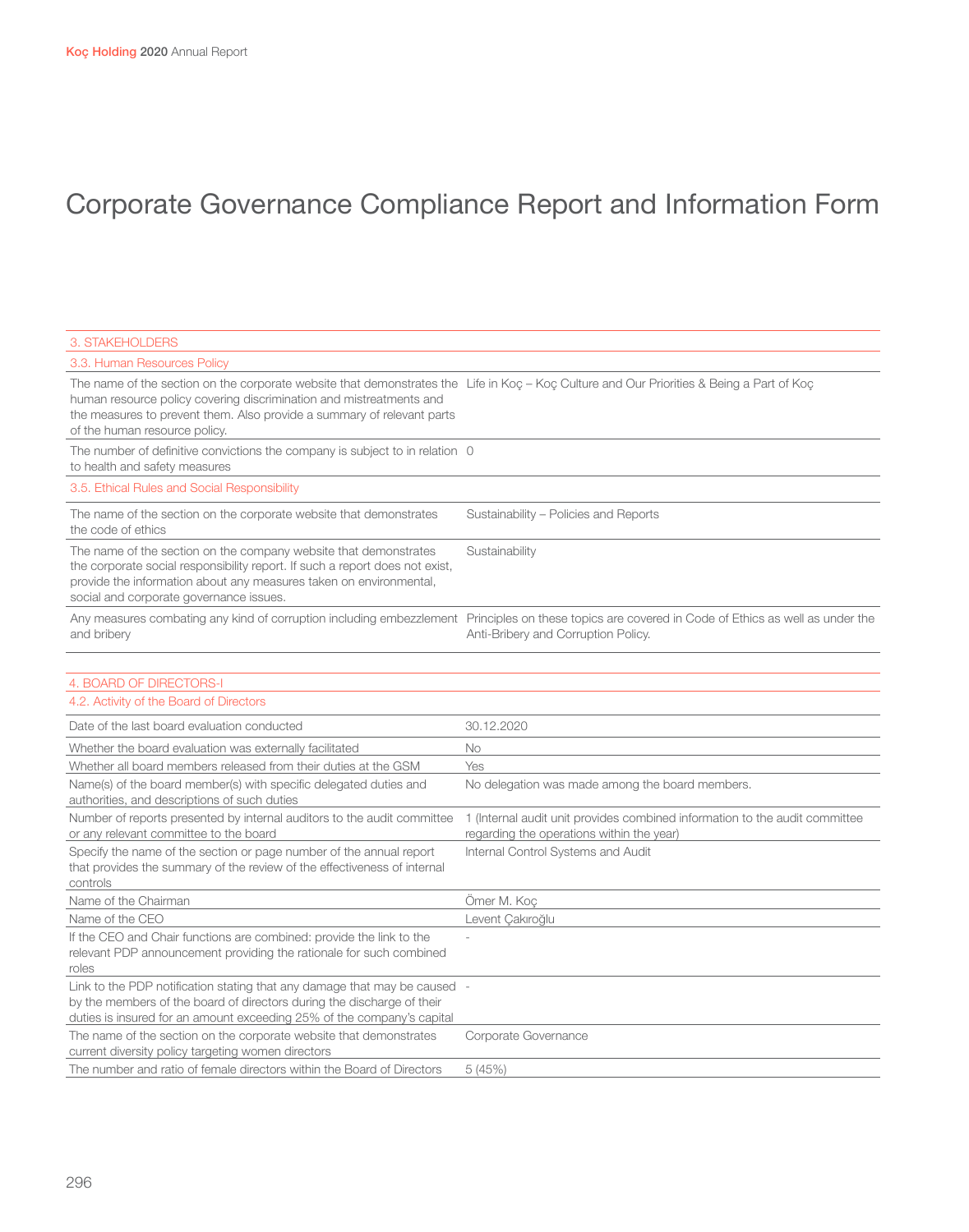| 3. STAKEHOLDERS                                                                                                                                                                                                                                                                                                             |                                                                                                                                                                                           |
|-----------------------------------------------------------------------------------------------------------------------------------------------------------------------------------------------------------------------------------------------------------------------------------------------------------------------------|-------------------------------------------------------------------------------------------------------------------------------------------------------------------------------------------|
| 3.3. Human Resources Policy                                                                                                                                                                                                                                                                                                 |                                                                                                                                                                                           |
| The name of the section on the corporate website that demonstrates the Life in Koç - Koç Culture and Our Priorities & Being a Part of Koç<br>human resource policy covering discrimination and mistreatments and<br>the measures to prevent them. Also provide a summary of relevant parts<br>of the human resource policy. |                                                                                                                                                                                           |
| The number of definitive convictions the company is subject to in relation 0<br>to health and safety measures                                                                                                                                                                                                               |                                                                                                                                                                                           |
| 3.5. Ethical Rules and Social Responsibility                                                                                                                                                                                                                                                                                |                                                                                                                                                                                           |
| The name of the section on the corporate website that demonstrates<br>the code of ethics                                                                                                                                                                                                                                    | Sustainability - Policies and Reports                                                                                                                                                     |
| The name of the section on the company website that demonstrates<br>the corporate social responsibility report. If such a report does not exist,<br>provide the information about any measures taken on environmental,<br>social and corporate governance issues.                                                           | Sustainability                                                                                                                                                                            |
| and bribery                                                                                                                                                                                                                                                                                                                 | Any measures combating any kind of corruption including embezzlement Principles on these topics are covered in Code of Ethics as well as under the<br>Anti-Bribery and Corruption Policy. |
| 4. BOARD OF DIRECTORS-I                                                                                                                                                                                                                                                                                                     |                                                                                                                                                                                           |
| 4.2. Activity of the Board of Directors                                                                                                                                                                                                                                                                                     |                                                                                                                                                                                           |
| Date of the last board evaluation conducted                                                                                                                                                                                                                                                                                 | 30.12.2020                                                                                                                                                                                |
| Whether the board evaluation was externally facilitated                                                                                                                                                                                                                                                                     | No                                                                                                                                                                                        |
| Whether all board members released from their duties at the GSM                                                                                                                                                                                                                                                             | Yes                                                                                                                                                                                       |
| Name(s) of the board member(s) with specific delegated duties and<br>authorities, and descriptions of such duties                                                                                                                                                                                                           | No delegation was made among the board members.                                                                                                                                           |
| Number of reports presented by internal auditors to the audit committee<br>or any relevant committee to the board                                                                                                                                                                                                           | 1 (Internal audit unit provides combined information to the audit committee<br>regarding the operations within the year)                                                                  |
| Specify the name of the section or page number of the annual report<br>that provides the summary of the review of the effectiveness of internal<br>controls                                                                                                                                                                 | Internal Control Systems and Audit                                                                                                                                                        |
| Name of the Chairman                                                                                                                                                                                                                                                                                                        | Ömer M. Koc                                                                                                                                                                               |
| Name of the CEO                                                                                                                                                                                                                                                                                                             | Levent Çakıroğlu                                                                                                                                                                          |
| If the CEO and Chair functions are combined: provide the link to the<br>relevant PDP announcement providing the rationale for such combined<br>roles                                                                                                                                                                        |                                                                                                                                                                                           |
| Link to the PDP notification stating that any damage that may be caused -<br>by the members of the board of directors during the discharge of their<br>duties is insured for an amount exceeding 25% of the company's capital                                                                                               |                                                                                                                                                                                           |
| The name of the section on the corporate website that demonstrates<br>current diversity policy targeting women directors                                                                                                                                                                                                    | Corporate Governance                                                                                                                                                                      |
| The number and ratio of female directors within the Board of Directors                                                                                                                                                                                                                                                      | 5(45%)                                                                                                                                                                                    |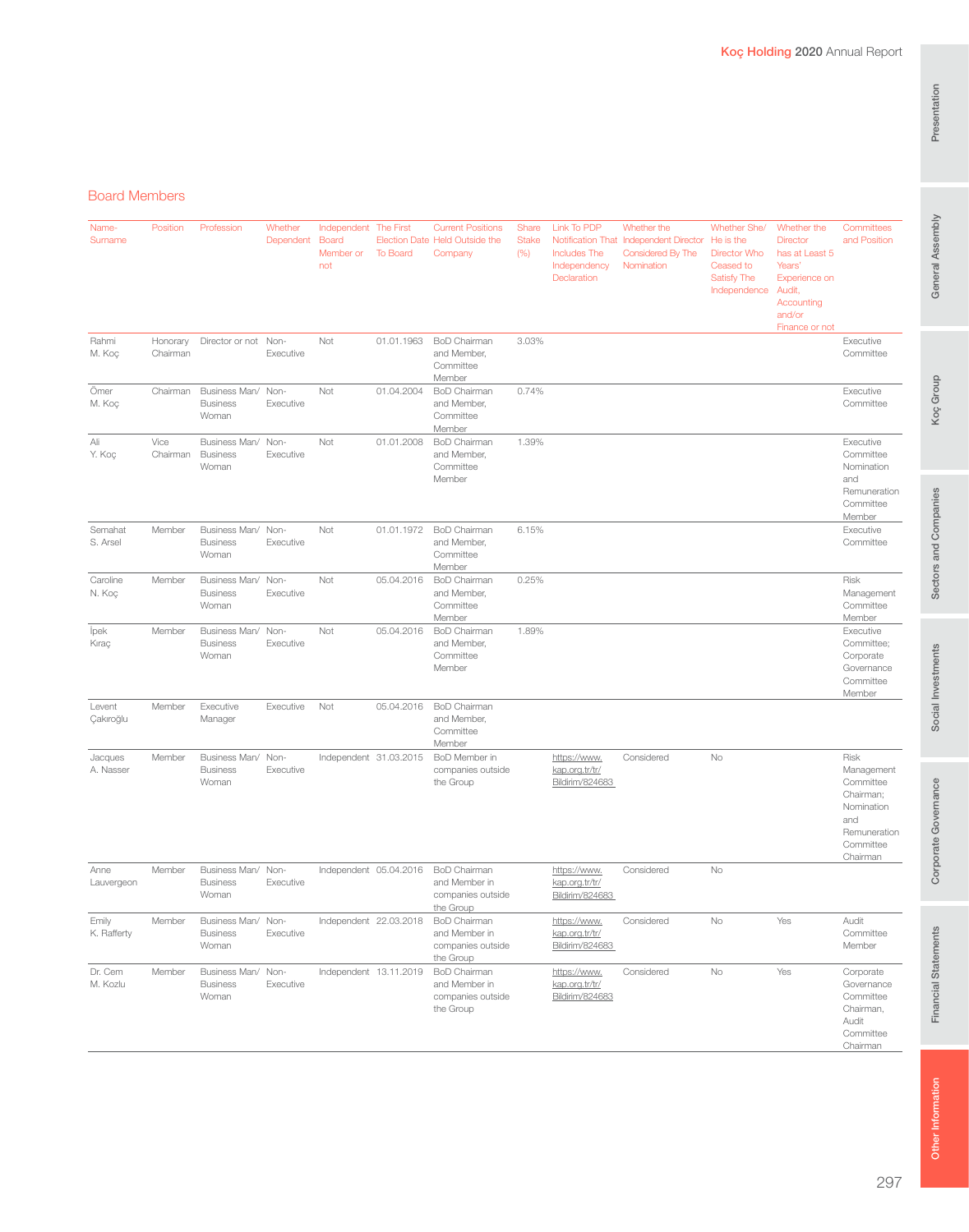## General Assembly

#### Board Members

| Name-<br>Surname     | Position             | Profession                                     | Whether<br>Dependent | Independent The First<br><b>Board</b><br>Member or<br>not | To Board               | <b>Current Positions</b><br>Election Date Held Outside the<br>Company  | Share<br><b>Stake</b><br>(% ) | Link To PDP<br><b>Includes The</b><br>Independency<br>Declaration | Whether the<br>Notification That Independent Director<br>Considered By The<br>Nomination | Whether She/<br>He is the<br><b>Director Who</b><br>Ceased to<br><b>Satisfy The</b><br>Independence | Whether the<br><b>Director</b><br>has at Least 5<br>Years'<br>Experience on<br>Audit,<br>Accounting<br>and/or | Committees<br>and Position                                                                                 |
|----------------------|----------------------|------------------------------------------------|----------------------|-----------------------------------------------------------|------------------------|------------------------------------------------------------------------|-------------------------------|-------------------------------------------------------------------|------------------------------------------------------------------------------------------|-----------------------------------------------------------------------------------------------------|---------------------------------------------------------------------------------------------------------------|------------------------------------------------------------------------------------------------------------|
| Rahmi<br>M. Koç      | Honorary<br>Chairman | Director or not Non-                           | Executive            | Not                                                       | 01.01.1963             | <b>BoD Chairman</b><br>and Member,<br>Committee<br>Member              | 3.03%                         |                                                                   |                                                                                          |                                                                                                     | Finance or not                                                                                                | Executive<br>Committee                                                                                     |
| Ömer<br>M. Koç       | Chairman             | Business Man/ Non-<br><b>Business</b><br>Woman | Executive            | Not                                                       | 01.04.2004             | <b>BoD Chairman</b><br>and Member,<br>Committee<br>Member              | 0.74%                         |                                                                   |                                                                                          |                                                                                                     |                                                                                                               | Executive<br>Committee                                                                                     |
| Ali<br>Y. Koç        | Vice<br>Chairman     | Business Man/ Non-<br><b>Business</b><br>Woman | Executive            | Not                                                       | 01.01.2008             | <b>BoD</b> Chairman<br>and Member,<br>Committee<br>Member              | 1.39%                         |                                                                   |                                                                                          |                                                                                                     |                                                                                                               | Executive<br>Committee<br>Nomination<br>and<br>Remuneration<br>Committee<br>Member                         |
| Semahat<br>S. Arsel  | Member               | Business Man/ Non-<br><b>Business</b><br>Woman | Executive            | Not                                                       | 01.01.1972             | <b>BoD Chairman</b><br>and Member,<br>Committee<br>Member              | 6.15%                         |                                                                   |                                                                                          |                                                                                                     |                                                                                                               | Executive<br>Committee                                                                                     |
| Caroline<br>N. Koç   | Member               | Business Man/ Non-<br><b>Business</b><br>Woman | Executive            | Not                                                       | 05.04.2016             | <b>BoD Chairman</b><br>and Member,<br>Committee<br>Member              | 0.25%                         |                                                                   |                                                                                          |                                                                                                     |                                                                                                               | Risk<br>Management<br>Committee<br>Member                                                                  |
| lpek<br>Kıraç        | Member               | Business Man/ Non-<br><b>Business</b><br>Woman | Executive            | Not                                                       | 05.04.2016             | <b>BoD Chairman</b><br>and Member,<br>Committee<br>Member              | 1.89%                         |                                                                   |                                                                                          |                                                                                                     |                                                                                                               | Executive<br>Committee;<br>Corporate<br>Governance<br>Committee<br>Member                                  |
| Levent<br>Çakıroğlu  | Member               | Executive<br>Manager                           | Executive            | Not                                                       | 05.04.2016             | <b>BoD Chairman</b><br>and Member,<br>Committee<br>Member              |                               |                                                                   |                                                                                          |                                                                                                     |                                                                                                               |                                                                                                            |
| Jacques<br>A. Nasser | Member               | Business Man/ Non-<br><b>Business</b><br>Woman | Executive            | Independent 31.03.2015                                    |                        | BoD Member in<br>companies outside<br>the Group                        |                               | https://www.<br>kap.org.tr/tr/<br>Bildirim/824683                 | Considered                                                                               | No                                                                                                  |                                                                                                               | Risk<br>Management<br>Committee<br>Chairman;<br>Nomination<br>and<br>Remuneration<br>Committee<br>Chairman |
| Anne<br>Lauvergeon   | Member               | Business Man/ Non-<br><b>Business</b><br>Woman | Executive            |                                                           | Independent 05.04.2016 | <b>BoD Chairman</b><br>and Member in<br>companies outside<br>the Group |                               | https://www.<br>kap.org.tr/tr/<br>Bildirim/824683                 | Considered                                                                               | No                                                                                                  |                                                                                                               |                                                                                                            |
| Emily<br>K. Rafferty | Member               | Business Man/ Non-<br><b>Business</b><br>Woman | Executive            |                                                           | Independent 22.03.2018 | <b>BoD Chairman</b><br>and Member in<br>companies outside<br>the Group |                               | https://www.<br>kap.org.tr/tr/<br>Bildirim/824683                 | Considered                                                                               | No                                                                                                  | Yes                                                                                                           | Audit<br>Committee<br>Member                                                                               |
| Dr. Cem<br>M. Kozlu  | Member               | Business Man/ Non-<br><b>Business</b><br>Woman | Executive            |                                                           | Independent 13.11.2019 | BoD Chairman<br>and Member in<br>companies outside<br>the Group        |                               | https://www.<br>kap.org.tr/tr/<br>Bildirim/824683                 | Considered                                                                               | No                                                                                                  | Yes                                                                                                           | Corporate<br>Governance<br>Committee<br>Chairman,<br>Audit<br>Committee<br>Chairman                        |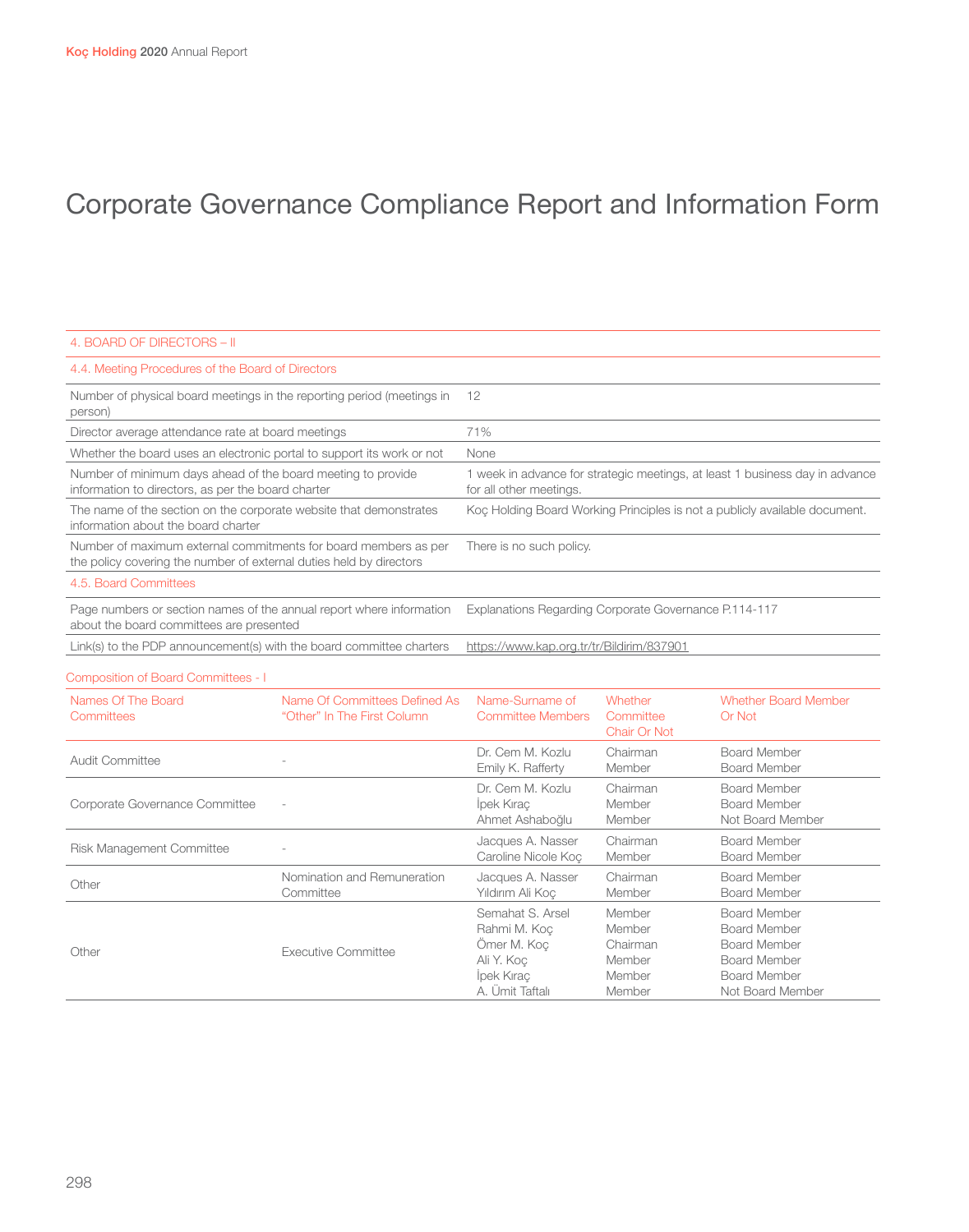| 4. BOARD OF DIRECTORS - II                                                                                                             |                                                                                                         |
|----------------------------------------------------------------------------------------------------------------------------------------|---------------------------------------------------------------------------------------------------------|
| 4.4. Meeting Procedures of the Board of Directors                                                                                      |                                                                                                         |
| Number of physical board meetings in the reporting period (meetings in<br>person)                                                      | 12                                                                                                      |
| Director average attendance rate at board meetings                                                                                     | 71%                                                                                                     |
| Whether the board uses an electronic portal to support its work or not                                                                 | None                                                                                                    |
| Number of minimum days ahead of the board meeting to provide<br>information to directors, as per the board charter                     | 1 week in advance for strategic meetings, at least 1 business day in advance<br>for all other meetings. |
| The name of the section on the corporate website that demonstrates<br>information about the board charter                              | Koc Holding Board Working Principles is not a publicly available document.                              |
| Number of maximum external commitments for board members as per<br>the policy covering the number of external duties held by directors | There is no such policy.                                                                                |
| 4.5. Board Committees                                                                                                                  |                                                                                                         |
| Page numbers or section names of the annual report where information<br>about the board committees are presented                       | Explanations Regarding Corporate Governance P.114-117                                                   |
| Link(s) to the PDP announcement(s) with the board committee charters                                                                   | https://www.kap.org.tr/tr/Bildirim/837901                                                               |

#### Composition of Board Committees - I

| Names Of The Board<br>Committees | Name Of Committees Defined As<br>"Other" In The First Column | Name-Surname of<br><b>Committee Members</b>                                                    | Whether<br>Committee<br><b>Chair Or Not</b>                | <b>Whether Board Member</b><br><b>Or Not</b>                                                                                        |
|----------------------------------|--------------------------------------------------------------|------------------------------------------------------------------------------------------------|------------------------------------------------------------|-------------------------------------------------------------------------------------------------------------------------------------|
| Audit Committee                  |                                                              | Dr. Cem M. Kozlu<br>Emily K. Rafferty                                                          | Chairman<br>Member                                         | <b>Board Member</b><br><b>Board Member</b>                                                                                          |
| Corporate Governance Committee   | $\sim$                                                       | Dr. Cem M. Kozlu<br>Ipek Kırac<br>Ahmet Ashaboğlu                                              | Chairman<br>Member<br>Member                               | Board Member<br><b>Board Member</b><br>Not Board Member                                                                             |
| <b>Risk Management Committee</b> |                                                              | Jacques A. Nasser<br>Caroline Nicole Koc                                                       | Chairman<br>Member                                         | <b>Board Member</b><br><b>Board Member</b>                                                                                          |
| Other                            | Nomination and Remuneration<br>Committee                     | Jacques A. Nasser<br>Yıldırım Ali Koc                                                          | Chairman<br>Member                                         | <b>Board Member</b><br><b>Board Member</b>                                                                                          |
| Other                            | Executive Committee                                          | Semahat S. Arsel<br>Rahmi M. Koc<br>Ömer M. Koc<br>Ali Y. Koc<br>lpek Kırac<br>A. Ümit Taftalı | Member<br>Member<br>Chairman<br>Member<br>Member<br>Member | <b>Board Member</b><br><b>Board Member</b><br><b>Board Member</b><br><b>Board Member</b><br><b>Board Member</b><br>Not Board Member |